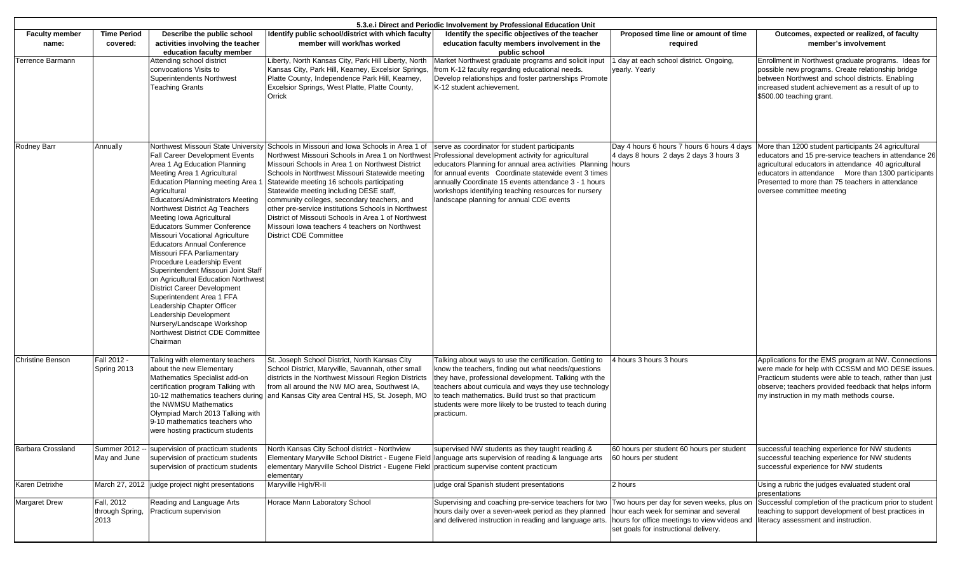| 5.3.e. Direct and Periodic Involvement by Professional Education Unit |                                       |                                                                                                                                                                                                                                                                                                                                                                                                                                                                                                                                                                                                                                                                                                                                |                                                                                                                                                                                                                                                                                                                                                                                                                                                                                                                                                                                                                                               |                                                                                                                                                                                                                                                                                                                                                                 |                                                                                                                                                                               |                                                                                                                                                                                                                                                                                                               |  |
|-----------------------------------------------------------------------|---------------------------------------|--------------------------------------------------------------------------------------------------------------------------------------------------------------------------------------------------------------------------------------------------------------------------------------------------------------------------------------------------------------------------------------------------------------------------------------------------------------------------------------------------------------------------------------------------------------------------------------------------------------------------------------------------------------------------------------------------------------------------------|-----------------------------------------------------------------------------------------------------------------------------------------------------------------------------------------------------------------------------------------------------------------------------------------------------------------------------------------------------------------------------------------------------------------------------------------------------------------------------------------------------------------------------------------------------------------------------------------------------------------------------------------------|-----------------------------------------------------------------------------------------------------------------------------------------------------------------------------------------------------------------------------------------------------------------------------------------------------------------------------------------------------------------|-------------------------------------------------------------------------------------------------------------------------------------------------------------------------------|---------------------------------------------------------------------------------------------------------------------------------------------------------------------------------------------------------------------------------------------------------------------------------------------------------------|--|
| <b>Faculty member</b><br>name:                                        | <b>Time Period</b><br>covered:        | Describe the public school<br>activities involving the teacher<br>education faculty member                                                                                                                                                                                                                                                                                                                                                                                                                                                                                                                                                                                                                                     | Identify public school/district with which faculty<br>member will work/has worked                                                                                                                                                                                                                                                                                                                                                                                                                                                                                                                                                             | Identify the specific objectives of the teacher<br>education faculty members involvement in the<br>public school                                                                                                                                                                                                                                                | Proposed time line or amount of time<br>required                                                                                                                              | Outcomes, expected or realized, of faculty<br>member's involvement                                                                                                                                                                                                                                            |  |
| Terrence Barmann                                                      |                                       | Attending school district<br>convocations Visits to<br>Superintendents Northwest<br><b>Teaching Grants</b>                                                                                                                                                                                                                                                                                                                                                                                                                                                                                                                                                                                                                     | Liberty, North Kansas City, Park Hill Liberty, North<br>Kansas City, Park Hill, Kearney, Excelsior Springs,<br>Platte County, Independence Park Hill, Kearney,<br>Excelsior Springs, West Platte, Platte County,<br>Orrick                                                                                                                                                                                                                                                                                                                                                                                                                    | Market Northwest graduate programs and solicit input<br>rom K-12 faculty regarding educational needs.<br>Develop relationships and foster partnerships Promote<br>K-12 student achievement.                                                                                                                                                                     | day at each school district. Ongoing,<br>yearly. Yearly                                                                                                                       | Enrollment in Northwest graduate programs. Ideas for<br>possible new programs. Create relationship bridge<br>between Northwest and school districts. Enabling<br>increased student achievement as a result of up to<br>\$500.00 teaching grant.                                                               |  |
| Rodney Barr                                                           | Annually                              | <b>Fall Career Development Events</b><br>Area 1 Ag Education Planning<br>Meeting Area 1 Agricultural<br>Education Planning meeting Area '<br>Agricultural<br>Educators/Administrators Meeting<br>Northwest District Ag Teachers<br>Meeting Iowa Agricultural<br><b>Educators Summer Conference</b><br>Missouri Vocational Agriculture<br><b>Educators Annual Conference</b><br>Missouri FFA Parliamentary<br>Procedure Leadership Event<br>Superintendent Missouri Joint Staff<br>on Agricultural Education Northwest<br><b>District Career Development</b><br>Superintendent Area 1 FFA<br>Leadership Chapter Officer<br>Leadership Development<br>Nursery/Landscape Workshop<br>Northwest District CDE Committee<br>Chairman | Northwest Missouri State University Schools in Missouri and Iowa Schools in Area 1 of<br>Northwest Missouri Schools in Area 1 on Northwest Professional development activity for agricultural<br>Missouri Schools in Area 1 on Northwest District<br>Schools in Northwest Missouri Statewide meeting<br>Statewide meeting 16 schools participating<br>Statewide meeting including DESE staff,<br>community colleges, secondary teachers, and<br>other pre-service institutions Schools in Northwest<br>District of Missouti Schools in Area 1 of Northwest<br>Missouri Iowa teachers 4 teachers on Northwest<br><b>District CDE Committee</b> | serve as coordinator for student participants<br>educators Planning for annual area activities Planning<br>for annual events Coordinate statewide event 3 times<br>annually Coordinate 15 events attendance 3 - 1 hours<br>workshops identifying teaching resources for nursery<br>landscape planning for annual CDE events                                     | Day 4 hours 6 hours 7 hours 6 hours 4 days<br>4 days 8 hours 2 days 2 days 3 hours 3<br>hours                                                                                 | More than 1200 student participants 24 agricultural<br>educators and 15 pre-service teachers in attendance 26<br>agricultural educators in attendance 40 agricultural<br>educators in attendance More than 1300 participants<br>Presented to more than 75 teachers in attendance<br>oversee committee meeting |  |
| <b>Christine Benson</b>                                               | Fall 2012 -<br>Spring 2013            | Talking with elementary teachers<br>about the new Elementary<br>Mathematics Specialist add-on<br>certification program Talking with<br>10-12 mathematics teachers during<br>the NWMSU Mathematics<br>Olympiad March 2013 Talking with<br>9-10 mathematics teachers who<br>were hosting practicum students                                                                                                                                                                                                                                                                                                                                                                                                                      | St. Joseph School District, North Kansas City<br>School District, Maryville, Savannah, other small<br>districts in the Northwest Missouri Region Districts<br>from all around the NW MO area, Southwest IA,<br>and Kansas City area Central HS, St. Joseph, MO                                                                                                                                                                                                                                                                                                                                                                                | Talking about ways to use the certification. Getting to<br>know the teachers, finding out what needs/questions<br>hey have, professional development. Talking with the<br>teachers about curricula and ways they use technology<br>to teach mathematics. Build trust so that practicum<br>students were more likely to be trusted to teach during<br>practicum. | 4 hours 3 hours 3 hours                                                                                                                                                       | Applications for the EMS program at NW. Connections<br>were made for help with CCSSM and MO DESE issues.<br>Practicum students were able to teach, rather than just<br>observe; teachers provided feedback that helps inform<br>my instruction in my math methods course.                                     |  |
| Barbara Crossland                                                     | May and June                          | Summer 2012 -- supervision of practicum students<br>supervision of practicum students<br>supervision of practicum students                                                                                                                                                                                                                                                                                                                                                                                                                                                                                                                                                                                                     | North Kansas City School district - Northview<br>elementary Maryville School District - Eugene Field practicum supervise content practicum<br>elementary                                                                                                                                                                                                                                                                                                                                                                                                                                                                                      | supervised NW students as they taught reading &<br>Elementary Maryville School District - Eugene Field language arts supervision of reading & language arts                                                                                                                                                                                                     | 60 hours per student 60 hours per student<br>60 hours per student                                                                                                             | successful teaching experience for NW students<br>successful teaching experience for NW students<br>successful experience for NW students                                                                                                                                                                     |  |
| Karen Detrixhe                                                        |                                       | March 27, 2012 judge project night presentations                                                                                                                                                                                                                                                                                                                                                                                                                                                                                                                                                                                                                                                                               | Maryville High/R-II                                                                                                                                                                                                                                                                                                                                                                                                                                                                                                                                                                                                                           | judge oral Spanish student presentations                                                                                                                                                                                                                                                                                                                        | 2 hours                                                                                                                                                                       | Using a rubric the judges evaluated student oral<br>oresentations                                                                                                                                                                                                                                             |  |
| Margaret Drew                                                         | Fall, 2012<br>through Spring,<br>2013 | Reading and Language Arts<br>Practicum supervision                                                                                                                                                                                                                                                                                                                                                                                                                                                                                                                                                                                                                                                                             | Horace Mann Laboratory School                                                                                                                                                                                                                                                                                                                                                                                                                                                                                                                                                                                                                 | Supervising and coaching pre-service teachers for two<br>hours daily over a seven-week period as they planned<br>and delivered instruction in reading and language arts.                                                                                                                                                                                        | Two hours per day for seven weeks, plus on<br>hour each week for seminar and several<br>hours for office meetings to view videos and<br>set goals for instructional delivery. | Successful completion of the practicum prior to student<br>teaching to support development of best practices in<br>literacy assessment and instruction.                                                                                                                                                       |  |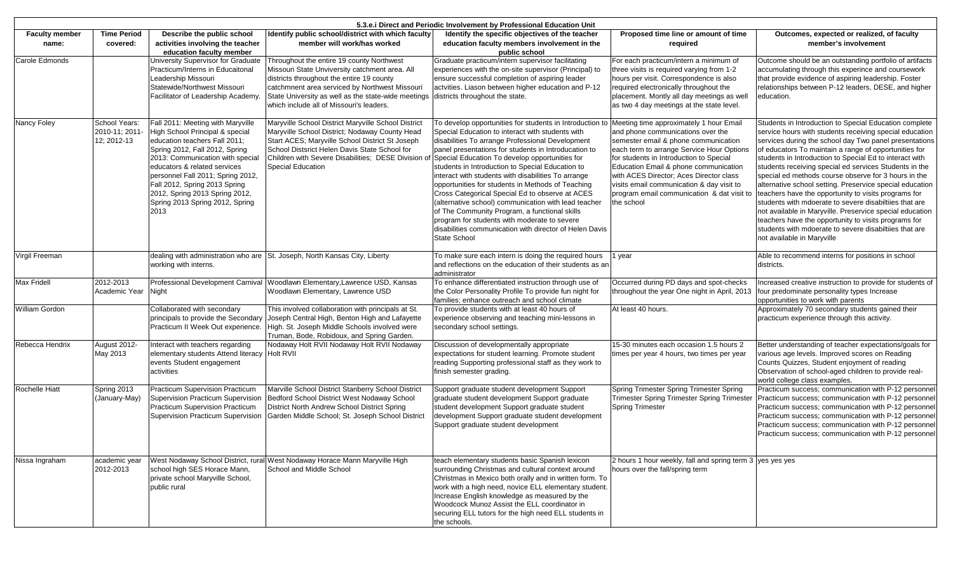| 5.3.e. i Direct and Periodic Involvement by Professional Education Unit |                                                |                                                                                                                                                                                                                                                                                                                                                                |                                                                                                                                                                                                                                                                                                                               |                                                                                                                                                                                                                                                                                                                                                                                                                                                                                                                                                                                                                                                                                                                                   |                                                                                                                                                                                                                                                                                                                                                                                                           |                                                                                                                                                                                                                                                                                                                                                                                                                                                                                                                                                                                                                                                                                                                                                                                                             |
|-------------------------------------------------------------------------|------------------------------------------------|----------------------------------------------------------------------------------------------------------------------------------------------------------------------------------------------------------------------------------------------------------------------------------------------------------------------------------------------------------------|-------------------------------------------------------------------------------------------------------------------------------------------------------------------------------------------------------------------------------------------------------------------------------------------------------------------------------|-----------------------------------------------------------------------------------------------------------------------------------------------------------------------------------------------------------------------------------------------------------------------------------------------------------------------------------------------------------------------------------------------------------------------------------------------------------------------------------------------------------------------------------------------------------------------------------------------------------------------------------------------------------------------------------------------------------------------------------|-----------------------------------------------------------------------------------------------------------------------------------------------------------------------------------------------------------------------------------------------------------------------------------------------------------------------------------------------------------------------------------------------------------|-------------------------------------------------------------------------------------------------------------------------------------------------------------------------------------------------------------------------------------------------------------------------------------------------------------------------------------------------------------------------------------------------------------------------------------------------------------------------------------------------------------------------------------------------------------------------------------------------------------------------------------------------------------------------------------------------------------------------------------------------------------------------------------------------------------|
| <b>Faculty member</b>                                                   | <b>Time Period</b>                             | Describe the public school                                                                                                                                                                                                                                                                                                                                     | Identify public school/district with which faculty                                                                                                                                                                                                                                                                            | Identify the specific objectives of the teacher                                                                                                                                                                                                                                                                                                                                                                                                                                                                                                                                                                                                                                                                                   | Proposed time line or amount of time                                                                                                                                                                                                                                                                                                                                                                      | Outcomes, expected or realized, of faculty                                                                                                                                                                                                                                                                                                                                                                                                                                                                                                                                                                                                                                                                                                                                                                  |
| name:                                                                   | covered:                                       | activities involving the teacher                                                                                                                                                                                                                                                                                                                               | member will work/has worked                                                                                                                                                                                                                                                                                                   | education faculty members involvement in the                                                                                                                                                                                                                                                                                                                                                                                                                                                                                                                                                                                                                                                                                      | required                                                                                                                                                                                                                                                                                                                                                                                                  | member's involvement                                                                                                                                                                                                                                                                                                                                                                                                                                                                                                                                                                                                                                                                                                                                                                                        |
| Carole Edmonds                                                          |                                                | education faculty member<br>University Supervisor for Graduate<br>Practicum/Interns in Educaitonal<br>Leadership Missouri<br>Statewide/Northwest Missouri<br>Facilitator of Leadership Academy.                                                                                                                                                                | Throughout the entire 19 county Northwest<br>Missouri State Unviversity catchment area. All<br>districts throughout the entire 19 county<br>catchmnent area serviced by Northwest Missouri<br>State University as well as the state-wide meetings districts throughout the state.<br>which include all of Missouri's leaders. | public school<br>Graduate practicum/intern supervisor facilitating<br>experiences with the on-site supervisor (Principal) to<br>ensure successful completion of aspiring leader<br>actvities. Liason between higher education and P-12                                                                                                                                                                                                                                                                                                                                                                                                                                                                                            | For each practicum/intern a minimum of<br>three visits is required varying from 1-2<br>hours per visit. Correspondence is also<br>required electronically throughout the<br>placement. Montly all day meetings as well<br>as two 4 day meetings at the state level.                                                                                                                                       | Outcome should be an outstanding portfolio of artifacts<br>accumulating through this experince and coursework<br>that provide evidence of aspiring leadership. Foster<br>relationships between P-12 leaders, DESE, and higher<br>education.                                                                                                                                                                                                                                                                                                                                                                                                                                                                                                                                                                 |
| Nancy Foley                                                             | School Years:<br>2010-11: 2011-<br>12: 2012-13 | Fall 2011: Meeting with Maryville<br>High School Principal & special<br>education teachers Fall 2011:<br>Spring 2012, Fall 2012, Spring<br>2013: Communication with special<br>educators & related services<br>personnel Fall 2011; Spring 2012,<br>Fall 2012, Spring 2013 Spring<br>2012, Spring 2013 Spring 2012,<br>Spring 2013 Spring 2012, Spring<br>2013 | Maryville School District Maryville School District<br>Maryville School District; Nodaway County Head<br>Start ACES; Maryville School District St Joseph<br>School Distsrict Helen Davis State School for<br>Children with Severe Disabilities; DESE Division<br>of<br><b>Special Education</b>                               | To develop opportunities for students in Introduction to<br>Special Education to interact with students with<br>disabilities To arrange Professional Development<br>panel presentations for students in Introducation to<br>Special Education To develop opportunities for<br>students in Introduction to Special Education to<br>interact with students with disabilities To arrange<br>opportunities for students in Methods of Teaching<br>Cross Categorical Special Ed to observe at ACES<br>(alternative school) communication with lead teacher<br>of The Community Program, a functional skills<br>program for students with moderate to severe<br>disabilities communication with director of Helen Davis<br>State School | Meeting time approximately 1 hour Email<br>and phone communications over the<br>semester email & phone communication<br>each term to arrange Service Hour Options<br>for students in Introduction to Special<br>Education Email & phone communication<br>with ACES Director; Aces Director class<br>visits email communication & day visit to<br>program email communication & dat visit to<br>the school | Students in Introduction to Special Education complete<br>service hours with students receiving special education<br>services during the school day Two panel presentations<br>of educators To maintain a range of opportunities for<br>students in Introduction to Special Ed to interact with<br>students receiving special ed services Students in the<br>special ed methods course observe for 3 hours in the<br>alternative school setting. Preservice special education<br>teachers have the opportunity to visits programs for<br>students with mdoerate to severe disabiltiies that are<br>not available in Maryville. Preservice special education<br>teachers have the opportunity to visits programs for<br>students with mdoerate to severe disabiltiies that are<br>not available in Maryville |
| Virgil Freeman                                                          |                                                | working with interns.                                                                                                                                                                                                                                                                                                                                          | dealing with administration who are St. Joseph, North Kansas City, Liberty                                                                                                                                                                                                                                                    | To make sure each intern is doing the required hours<br>and reflections on the education of their students as an<br>administrator                                                                                                                                                                                                                                                                                                                                                                                                                                                                                                                                                                                                 | 1 year                                                                                                                                                                                                                                                                                                                                                                                                    | Able to recommend interns for positions in school<br>districts.                                                                                                                                                                                                                                                                                                                                                                                                                                                                                                                                                                                                                                                                                                                                             |
| Max Fridell                                                             | 2012-2013<br>Academic Year                     | Night                                                                                                                                                                                                                                                                                                                                                          | Professional Development Carnival Woodlawn Elementary, Lawrence USD, Kansas<br>Woodlawn Elementary, Lawrence USD                                                                                                                                                                                                              | To enhance differentiated instruction through use of<br>the Color Personality Profile To provide fun night for<br>families; enhance outreach and school climate                                                                                                                                                                                                                                                                                                                                                                                                                                                                                                                                                                   | Occurred during PD days and spot-checks<br>throughout the year One night in April, 2013                                                                                                                                                                                                                                                                                                                   | Increased creative instruction to provide for students of<br>four predominate personality types Increase<br>opportunities to work with parents                                                                                                                                                                                                                                                                                                                                                                                                                                                                                                                                                                                                                                                              |
| <b>William Gordon</b>                                                   |                                                | Collaborated with secondary<br>principals to provide the Secondary<br>Practicum II Week Out experience.                                                                                                                                                                                                                                                        | This involved collaboration with principals at St.<br>Joseph Central High, Benton High and Lafayette<br>High. St. Joseph Middle Schools involved were<br>Truman, Bode, Robidoux, and Spring Garden.                                                                                                                           | To provide students with at least 40 hours of<br>experience observing and teaching mini-lessons in<br>secondary school settings.                                                                                                                                                                                                                                                                                                                                                                                                                                                                                                                                                                                                  | At least 40 hours.                                                                                                                                                                                                                                                                                                                                                                                        | Approximately 70 secondary students gained their<br>practicum experience through this activity.                                                                                                                                                                                                                                                                                                                                                                                                                                                                                                                                                                                                                                                                                                             |
| Rebecca Hendrix                                                         | August 2012-<br>May 2013                       | Interact with teachers regarding<br>elementary students Attend literacy<br>events Student engagement<br>activities                                                                                                                                                                                                                                             | Nodaway Holt RVII Nodaway Holt RVII Nodaway<br><b>Holt RVII</b>                                                                                                                                                                                                                                                               | Discussion of developmentally appropriate<br>expectations for student learning. Promote student<br>reading Supporting professional staff as they work to<br>finish semester grading.                                                                                                                                                                                                                                                                                                                                                                                                                                                                                                                                              | 15-30 minutes each occasion 1.5 hours 2<br>times per year 4 hours, two times per year                                                                                                                                                                                                                                                                                                                     | Better understanding of teacher expectations/goals for<br>various age levels. Improved scores on Reading<br>Counts Quizzes, Student enjoyment of reading<br>Observation of school-aged children to provide real-<br>world college class examples.                                                                                                                                                                                                                                                                                                                                                                                                                                                                                                                                                           |
| <b>Rochelle Hiatt</b>                                                   | Spring 2013<br>(January-May)                   | <b>Practicum Supervision Practicum</b><br>Supervision Practicum Supervision<br><b>Practicum Supervision Practicum</b><br>Supervision Practicum Supervision                                                                                                                                                                                                     | Marville School District Stanberry School District<br>Bedford School District West Nodaway School<br>District North Andrew School District Spring<br>Garden Middle School; St. Joseph School District                                                                                                                         | Support graduate student development Support<br>graduate student development Support graduate<br>student development Support graduate student<br>development Support graduate student development<br>Support graduate student development                                                                                                                                                                                                                                                                                                                                                                                                                                                                                         | Spring Trimester Spring Trimester Spring<br>Trimester Spring Trimester Spring Trimester<br>Spring Trimester                                                                                                                                                                                                                                                                                               | Practicum success; communication with P-12 personnel<br>Practicum success; communication with P-12 personnel<br>Practicum success; communication with P-12 personnel<br>Practicum success; communication with P-12 personnel<br>Practicum success; communication with P-12 personnel<br>Practicum success; communication with P-12 personnel                                                                                                                                                                                                                                                                                                                                                                                                                                                                |
| Nissa Ingraham                                                          | academic year<br>2012-2013                     | school high SES Horace Mann,<br>private school Maryville School,<br>public rural                                                                                                                                                                                                                                                                               | West Nodaway School District, rural West Nodaway Horace Mann Maryville High<br>School and Middle School                                                                                                                                                                                                                       | teach elementary students basic Spanish lexicon<br>surrounding Christmas and cultural context around<br>Christmas in Mexico both orally and in written form. To<br>work with a high need, novice ELL elementary student.<br>Increase English knowledge as measured by the<br>Woodcock Munoz Assist the ELL coordinator in<br>securing ELL tutors for the high need ELL students in<br>the schools.                                                                                                                                                                                                                                                                                                                                | 2 hours 1 hour weekly, fall and spring term 3 yes yes yes<br>hours over the fall/spring term                                                                                                                                                                                                                                                                                                              |                                                                                                                                                                                                                                                                                                                                                                                                                                                                                                                                                                                                                                                                                                                                                                                                             |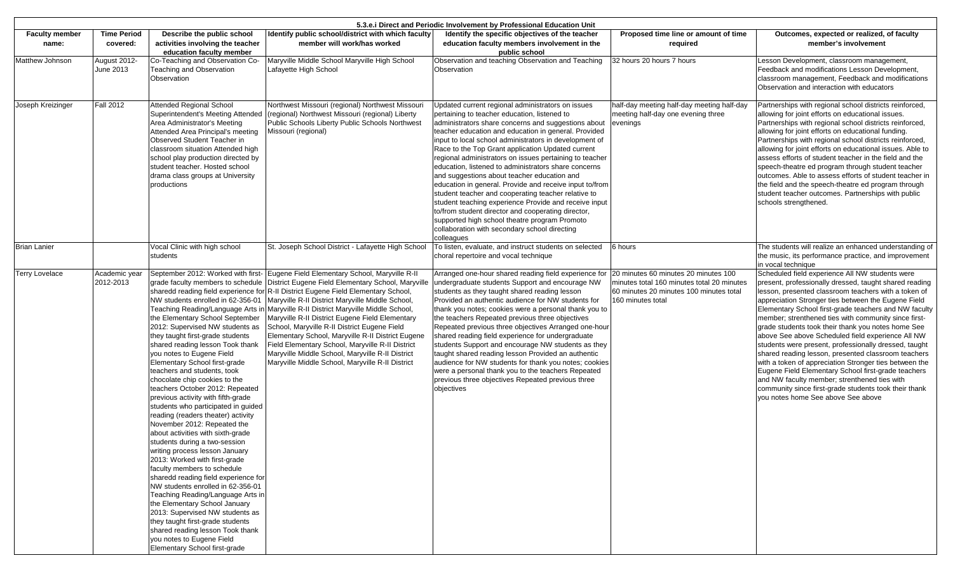| 5.3.e. i Direct and Periodic Involvement by Professional Education Unit |                                |                                                                                                                                                                                                                                                                                                                                                                                                                                                                                                                                                                                                                                                                                                                                                                                                                                                                                                                                                                                                                                                                                                                                                                |                                                                                                                                                                                                                                                                                                                                                                                                                                                                                                                                                                                   |                                                                                                                                                                                                                                                                                                                                                                                                                                                                                                                                                                                                                                                                                                                                                                                                                                                    |                                                                                                                                                    |                                                                                                                                                                                                                                                                                                                                                                                                                                                                                                                                                                                                                                                                                                                                                                                                                                     |
|-------------------------------------------------------------------------|--------------------------------|----------------------------------------------------------------------------------------------------------------------------------------------------------------------------------------------------------------------------------------------------------------------------------------------------------------------------------------------------------------------------------------------------------------------------------------------------------------------------------------------------------------------------------------------------------------------------------------------------------------------------------------------------------------------------------------------------------------------------------------------------------------------------------------------------------------------------------------------------------------------------------------------------------------------------------------------------------------------------------------------------------------------------------------------------------------------------------------------------------------------------------------------------------------|-----------------------------------------------------------------------------------------------------------------------------------------------------------------------------------------------------------------------------------------------------------------------------------------------------------------------------------------------------------------------------------------------------------------------------------------------------------------------------------------------------------------------------------------------------------------------------------|----------------------------------------------------------------------------------------------------------------------------------------------------------------------------------------------------------------------------------------------------------------------------------------------------------------------------------------------------------------------------------------------------------------------------------------------------------------------------------------------------------------------------------------------------------------------------------------------------------------------------------------------------------------------------------------------------------------------------------------------------------------------------------------------------------------------------------------------------|----------------------------------------------------------------------------------------------------------------------------------------------------|-------------------------------------------------------------------------------------------------------------------------------------------------------------------------------------------------------------------------------------------------------------------------------------------------------------------------------------------------------------------------------------------------------------------------------------------------------------------------------------------------------------------------------------------------------------------------------------------------------------------------------------------------------------------------------------------------------------------------------------------------------------------------------------------------------------------------------------|
| <b>Faculty member</b><br>name:                                          | <b>Time Period</b><br>covered: | Describe the public school<br>activities involving the teacher<br>education faculty member                                                                                                                                                                                                                                                                                                                                                                                                                                                                                                                                                                                                                                                                                                                                                                                                                                                                                                                                                                                                                                                                     | Identify public school/district with which faculty<br>member will work/has worked                                                                                                                                                                                                                                                                                                                                                                                                                                                                                                 | Identify the specific objectives of the teacher<br>education faculty members involvement in the<br>public school                                                                                                                                                                                                                                                                                                                                                                                                                                                                                                                                                                                                                                                                                                                                   | Proposed time line or amount of time<br>required                                                                                                   | Outcomes, expected or realized, of faculty<br>member's involvement                                                                                                                                                                                                                                                                                                                                                                                                                                                                                                                                                                                                                                                                                                                                                                  |
| Matthew Johnson                                                         | August 2012-<br>June 2013      | Co-Teaching and Observation Co-<br>Teaching and Observation<br>Observation                                                                                                                                                                                                                                                                                                                                                                                                                                                                                                                                                                                                                                                                                                                                                                                                                                                                                                                                                                                                                                                                                     | Maryville Middle School Maryville High School<br>Lafayette High School                                                                                                                                                                                                                                                                                                                                                                                                                                                                                                            | Observation and teaching Observation and Teaching<br>Observation                                                                                                                                                                                                                                                                                                                                                                                                                                                                                                                                                                                                                                                                                                                                                                                   | 32 hours 20 hours 7 hours                                                                                                                          | Lesson Development, classroom management,<br>Feedback and modifications Lesson Development,<br>classroom management, Feedback and modifications<br>Observation and interaction with educators                                                                                                                                                                                                                                                                                                                                                                                                                                                                                                                                                                                                                                       |
| Joseph Kreizinger                                                       | <b>Fall 2012</b>               | <b>Attended Regional School</b><br>Superintendent's Meeting Attended<br>Area Administrator's Meeting<br>Attended Area Principal's meeting<br>Observed Student Teacher in<br>classroom situation Attended high<br>school play production directed by<br>student teacher. Hosted school<br>drama class groups at University<br>productions                                                                                                                                                                                                                                                                                                                                                                                                                                                                                                                                                                                                                                                                                                                                                                                                                       | Northwest Missouri (regional) Northwest Missouri<br>(regional) Northwest Missouri (regional) Liberty<br>Public Schools Liberty Public Schools Northwest<br>Missouri (regional)                                                                                                                                                                                                                                                                                                                                                                                                    | Updated current regional administrators on issues<br>pertaining to teacher education, listened to<br>administrators share concerns and suggestions about<br>teacher education and education in general. Provided<br>input to local school administrators in development of<br>Race to the Top Grant application Updated current<br>regional administrators on issues pertaining to teacher<br>education, listened to administrators share concerns<br>and suggestions about teacher education and<br>education in general. Provide and receive input to/from<br>student teacher and cooperating teacher relative to<br>student teaching experience Provide and receive input<br>to/from student director and cooperating director,<br>supported high school theatre program Promoto<br>collaboration with secondary school directing<br>colleagues | half-day meeting half-day meeting half-day<br>meeting half-day one evening three<br>evenings                                                       | Partnerships with regional school districts reinforced,<br>allowing for joint efforts on educational issues.<br>Partnerships with regional school districts reinforced,<br>allowing for joint efforts on educational funding.<br>Partnerships with regional school districts reinforced,<br>allowing for joint efforts on educational issues. Able to<br>assess efforts of student teacher in the field and the<br>speech-theatre ed program through student teacher<br>outcomes. Able to assess efforts of student teacher in<br>the field and the speech-theatre ed program through<br>student teacher outcomes. Partnerships with public<br>schools strengthened.                                                                                                                                                                |
| <b>Brian Lanier</b>                                                     |                                | Vocal Clinic with high school<br>students                                                                                                                                                                                                                                                                                                                                                                                                                                                                                                                                                                                                                                                                                                                                                                                                                                                                                                                                                                                                                                                                                                                      | St. Joseph School District - Lafayette High School                                                                                                                                                                                                                                                                                                                                                                                                                                                                                                                                | To listen, evaluate, and instruct students on selected<br>choral repertoire and vocal technique                                                                                                                                                                                                                                                                                                                                                                                                                                                                                                                                                                                                                                                                                                                                                    | 6 hours                                                                                                                                            | The students will realize an enhanced understanding of<br>the music, its performance practice, and improvement<br>in vocal technique                                                                                                                                                                                                                                                                                                                                                                                                                                                                                                                                                                                                                                                                                                |
| <b>Terry Lovelace</b>                                                   | Academic year<br>2012-2013     | September 2012: Worked with first-<br>grade faculty members to schedule<br>sharedd reading field experience for<br>NW students enrolled in 62-356-01<br>Teaching Reading/Language Arts in<br>the Elementary School September<br>2012: Supervised NW students as<br>they taught first-grade students<br>shared reading lesson Took thank<br>you notes to Eugene Field<br>Elementary School first-grade<br>teachers and students, took<br>chocolate chip cookies to the<br>teachers October 2012: Repeated<br>previous activity with fifth-grade<br>students who participated in guided<br>reading (readers theater) activity<br>November 2012: Repeated the<br>about activities with sixth-grade<br>students during a two-session<br>writing process lesson January<br>2013: Worked with first-grade<br>faculty members to schedule<br>sharedd reading field experience for<br>NW students enrolled in 62-356-01<br>Teaching Reading/Language Arts in<br>the Elementary School January<br>2013: Supervised NW students as<br>they taught first-grade students<br>shared reading lesson Took thank<br>you notes to Eugene Field<br>Elementary School first-grade | Eugene Field Elementary School, Maryville R-II<br>District Eugene Field Elementary School, Maryville<br>R-II District Eugene Field Elementary School,<br>Maryville R-II District Maryville Middle School,<br>Maryville R-II District Maryville Middle School,<br>Maryville R-II District Eugene Field Elementary<br>School, Maryville R-II District Eugene Field<br>Elementary School, Maryville R-II District Eugene<br>Field Elementary School, Maryville R-II District<br>Maryville Middle School, Maryville R-II District<br>Maryville Middle School, Maryville R-II District | Arranged one-hour shared reading field experience for<br>undergraduate students Support and encourage NW<br>students as they taught shared reading lesson<br>Provided an authentic audience for NW students for<br>thank you notes; cookies were a personal thank you to<br>the teachers Repeated previous three objectives<br>Repeated previous three objectives Arranged one-hour<br>shared reading field experience for undergraduate<br>students Support and encourage NW students as they<br>taught shared reading lesson Provided an authentic<br>audience for NW students for thank you notes; cookies<br>were a personal thank you to the teachers Repeated<br>previous three objectives Repeated previous three<br>objectives                                                                                                             | 20 minutes 60 minutes 20 minutes 100<br>minutes total 160 minutes total 20 minutes<br>60 minutes 20 minutes 100 minutes total<br>160 minutes total | Scheduled field experience All NW students were<br>present, professionally dressed, taught shared reading<br>esson, presented classroom teachers with a token of<br>appreciation Stronger ties between the Eugene Field<br>Elementary School first-grade teachers and NW faculty<br>member; strenthened ties with community since first-<br>grade students took their thank you notes home See<br>above See above Scheduled field experience All NW<br>students were present, professionally dressed, taught<br>shared reading lesson, presented classroom teachers<br>with a token of appreciation Stronger ties between the<br>Eugene Field Elementary School first-grade teachers<br>and NW faculty member; strenthened ties with<br>community since first-grade students took their thank<br>you notes home See above See above |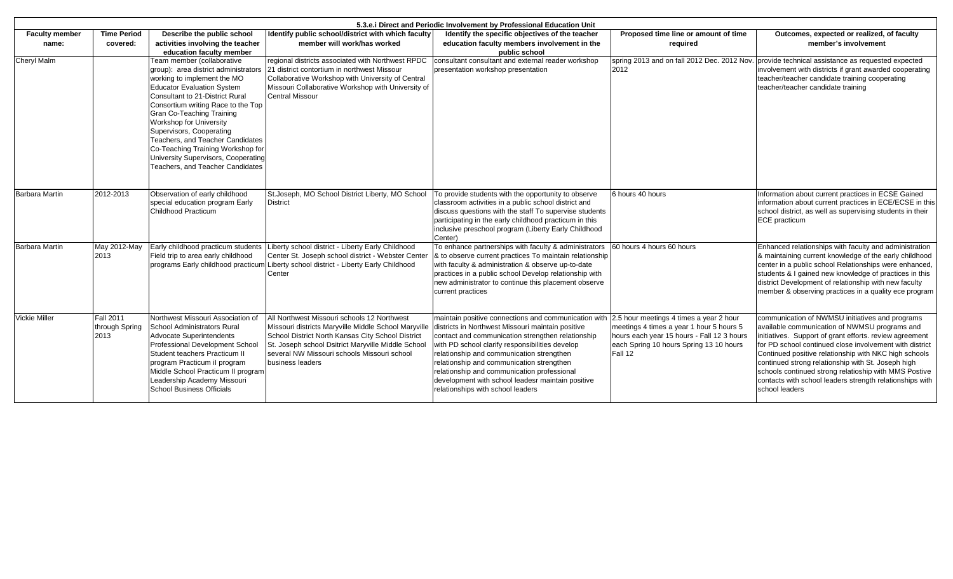|                                | 5.3.e. i Direct and Periodic Involvement by Professional Education Unit |                                                                                                                                                                                                                                                                                                                                                                                                                                                                              |                                                                                                                                                                                                                                                                                                                                     |                                                                                                                                                                                                                                                                                                                                                                                                 |                                                                                                                                                                                         |                                                                                                                                                                                                                                                                                                                                                                                                                                                                              |  |  |
|--------------------------------|-------------------------------------------------------------------------|------------------------------------------------------------------------------------------------------------------------------------------------------------------------------------------------------------------------------------------------------------------------------------------------------------------------------------------------------------------------------------------------------------------------------------------------------------------------------|-------------------------------------------------------------------------------------------------------------------------------------------------------------------------------------------------------------------------------------------------------------------------------------------------------------------------------------|-------------------------------------------------------------------------------------------------------------------------------------------------------------------------------------------------------------------------------------------------------------------------------------------------------------------------------------------------------------------------------------------------|-----------------------------------------------------------------------------------------------------------------------------------------------------------------------------------------|------------------------------------------------------------------------------------------------------------------------------------------------------------------------------------------------------------------------------------------------------------------------------------------------------------------------------------------------------------------------------------------------------------------------------------------------------------------------------|--|--|
| <b>Faculty member</b><br>name: | <b>Time Period</b><br>covered:                                          | Describe the public school<br>activities involving the teacher<br>education faculty member                                                                                                                                                                                                                                                                                                                                                                                   | Identify public school/district with which faculty<br>member will work/has worked                                                                                                                                                                                                                                                   | Identify the specific objectives of the teacher<br>education faculty members involvement in the<br>public school                                                                                                                                                                                                                                                                                | Proposed time line or amount of time<br>required                                                                                                                                        | Outcomes, expected or realized, of faculty<br>member's involvement                                                                                                                                                                                                                                                                                                                                                                                                           |  |  |
| <b>Cheryl Malm</b>             |                                                                         | Team member (collaborative<br>group): area district administrators<br>working to implement the MO<br><b>Educator Evaluation System</b><br><b>Consultant to 21-District Rural</b><br>Consortium writing Race to the Top<br><b>Gran Co-Teaching Training</b><br>Workshop for University<br>Supervisors, Cooperating<br>Teachers, and Teacher Candidates<br>Co-Teaching Training Workshop for<br>University Supervisors, Cooperating<br><b>Teachers, and Teacher Candidates</b> | regional districts associated with Northwest RPDC<br>21 district contortium in northwest Missour<br>Collaborative Workshop with University of Central<br>Missouri Collaborative Workshop with University of<br><b>Central Missour</b>                                                                                               | consultant consultant and external reader workshop<br>presentation workshop presentation                                                                                                                                                                                                                                                                                                        | spring 2013 and on fall 2012 Dec. 2012 Nov.<br>2012                                                                                                                                     | provide technical assistance as requested expected<br>involvement with districts if grant awarded cooperating<br>teacher/teacher candidate training cooperating<br>teacher/teacher candidate training                                                                                                                                                                                                                                                                        |  |  |
| <b>Barbara Martin</b>          | 2012-2013                                                               | Observation of early childhood<br>special education program Early<br>Childhood Practicum                                                                                                                                                                                                                                                                                                                                                                                     | St.Joseph, MO School District Liberty, MO School<br><b>District</b>                                                                                                                                                                                                                                                                 | To provide students with the opportunity to observe<br>classroom activities in a public school district and<br>discuss questions with the staff To supervise students<br>participating in the early childhood practicum in this<br>inclusive preschool program (Liberty Early Childhood<br>Center)                                                                                              | 6 hours 40 hours                                                                                                                                                                        | Information about current practices in ECSE Gained<br>information about current practices in ECE/ECSE in this<br>school district, as well as supervising students in their<br><b>ECE</b> practicum                                                                                                                                                                                                                                                                           |  |  |
| <b>Barbara Martin</b>          | May 2012-May<br>2013                                                    | Early childhood practicum students<br>Field trip to area early childhood<br>programs Early childhood practicum                                                                                                                                                                                                                                                                                                                                                               | Liberty school district - Liberty Early Childhood<br>Center St. Joseph school district - Webster Center<br>Liberty school district - Liberty Early Childhood<br>Center                                                                                                                                                              | To enhance partnerships with faculty & administrators<br>& to observe current practices To maintain relationship<br>with faculty & administration & observe up-to-date<br>practices in a public school Develop relationship with<br>new administrator to continue this placement observe<br>current practices                                                                                   | 60 hours 4 hours 60 hours                                                                                                                                                               | Enhanced relationships with faculty and administration<br>& maintaining current knowledge of the early childhood<br>center in a public school Relationships were enhanced,<br>students & I gained new knowledge of practices in this<br>district Development of relationship with new faculty<br>member & observing practices in a quality ece program                                                                                                                       |  |  |
| <b>Vickie Miller</b>           | <b>Fall 2011</b><br>through Spring<br>2013                              | Northwest Missouri Association of<br>School Administrators Rural<br>Advocate Superintendents<br>Professional Development School<br>Student teachers Practicum II<br>program Practicum il program<br>Middle School Practicum II program<br>Leadership Academy Missouri<br><b>School Business Officials</b>                                                                                                                                                                    | All Northwest Missouri schools 12 Northwest<br>Missouri districts Maryville Middle School Maryville districts in Northwest Missouri maintain positive<br>School District North Kansas City School District<br>St. Joseph school Dsitrict Maryville Middle School<br>several NW Missouri schools Missouri school<br>business leaders | maintain positive connections and communication with<br>contact and communication strengthen relationship<br>with PD school clarify responsibilities develop<br>relationship and communication strengthen<br>relationship and communication strengthen<br>relationship and communication professional<br>development with school leadesr maintain positive<br>relationships with school leaders | 2.5 hour meetings 4 times a year 2 hour<br>meetings 4 times a year 1 hour 5 hours 5<br>hours each year 15 hours - Fall 12 3 hours<br>each Spring 10 hours Spring 13 10 hours<br>Fall 12 | communication of NWMSU initiatives and programs<br>available communication of NWMSU programs and<br>initiatives. Support of grant efforts. review agreement<br>for PD school continued close involvement with district<br>Continued positive relationship with NKC high schools<br>continued strong relationship with St. Joseph high<br>schools continued strong relatioship with MMS Postive<br>contacts with school leaders strength relationships with<br>school leaders |  |  |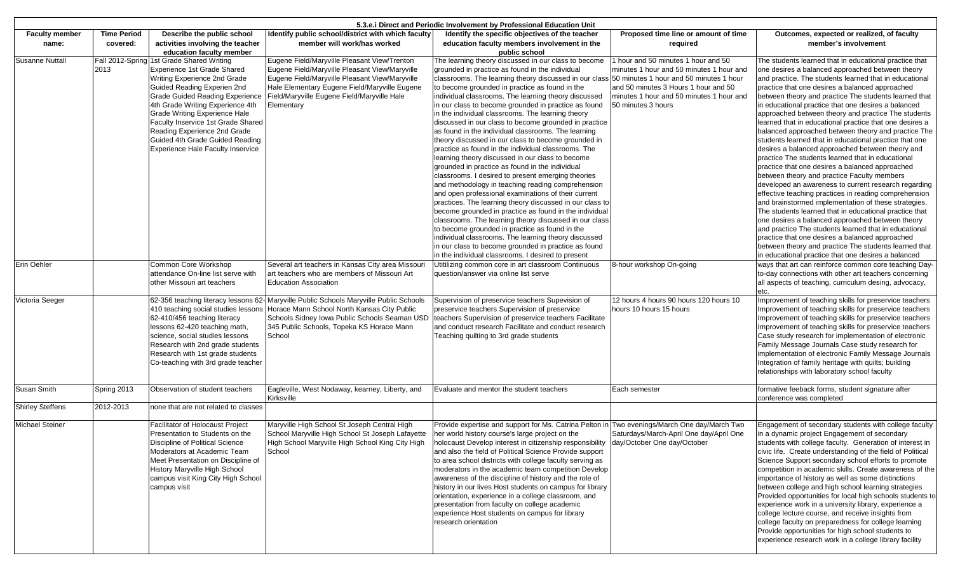| 5.3.e. Direct and Periodic Involvement by Professional Education Unit |                    |                                                             |                                                                                                |                                                                                                         |                                                                                     |                                                                                                            |
|-----------------------------------------------------------------------|--------------------|-------------------------------------------------------------|------------------------------------------------------------------------------------------------|---------------------------------------------------------------------------------------------------------|-------------------------------------------------------------------------------------|------------------------------------------------------------------------------------------------------------|
| <b>Faculty member</b>                                                 | <b>Time Period</b> | Describe the public school                                  | Identify public school/district with which faculty                                             | Identify the specific objectives of the teacher                                                         | Proposed time line or amount of time                                                | Outcomes, expected or realized, of faculty                                                                 |
| name:                                                                 | covered:           | activities involving the teacher                            | member will work/has worked                                                                    | education faculty members involvement in the                                                            | required                                                                            | member's involvement                                                                                       |
|                                                                       |                    | education faculty member                                    |                                                                                                | public school                                                                                           |                                                                                     |                                                                                                            |
| <b>Susanne Nuttall</b>                                                |                    | Fall 2012-Spring 1st Grade Shared Writing                   | Eugene Field/Maryville Pleasant View/Trenton<br>Eugene Field/Maryville Pleasant View/Maryville | The learning theory discussed in our class to become<br>grounded in practice as found in the individual | 1 hour and 50 minutes 1 hour and 50                                                 | The students learned that in educational practice that<br>one desires a balanced approached between theory |
|                                                                       | 2013               | Experience 1st Grade Shared<br>Writing Experience 2nd Grade | Eugene Field/Maryville Pleasant View/Maryville                                                 | classrooms. The learning theory discussed in our class                                                  | minutes 1 hour and 50 minutes 1 hour and<br>50 minutes 1 hour and 50 minutes 1 hour | and practice. The students learned that in educational                                                     |
|                                                                       |                    | Guided Reading Experien 2nd                                 | Hale Elementary Eugene Field/Maryville Eugene                                                  | to become grounded in practice as found in the                                                          | and 50 minutes 3 Hours 1 hour and 50                                                | practice that one desires a balanced approached                                                            |
|                                                                       |                    | <b>Grade Guided Reading Experience</b>                      | Field/Maryville Eugene Field/Maryville Hale                                                    | individual classrooms. The learning theory discussed                                                    | minutes 1 hour and 50 minutes 1 hour and                                            | between theory and practice The students learned that                                                      |
|                                                                       |                    | 4th Grade Writing Experience 4th                            | Elementary                                                                                     | in our class to become grounded in practice as found                                                    | 50 minutes 3 hours                                                                  | in educational practice that one desires a balanced                                                        |
|                                                                       |                    | Grade Writing Experience Hale                               |                                                                                                | in the individual classrooms. The learning theory                                                       |                                                                                     | approached between theory and practice The students                                                        |
|                                                                       |                    | Faculty Inservice 1st Grade Shared                          |                                                                                                | discussed in our class to become grounded in practice                                                   |                                                                                     | learned that in educational practice that one desires a                                                    |
|                                                                       |                    | Reading Experience 2nd Grade                                |                                                                                                | as found in the individual classrooms. The learning                                                     |                                                                                     | balanced approached between theory and practice The                                                        |
|                                                                       |                    | Guided 4th Grade Guided Reading                             |                                                                                                | theory discussed in our class to become grounded in                                                     |                                                                                     | students learned that in educational practice that one                                                     |
|                                                                       |                    | <b>Experience Hale Faculty Inservice</b>                    |                                                                                                | practice as found in the individual classrooms. The                                                     |                                                                                     | desires a balanced approached between theory and                                                           |
|                                                                       |                    |                                                             |                                                                                                | learning theory discussed in our class to become                                                        |                                                                                     | practice The students learned that in educational                                                          |
|                                                                       |                    |                                                             |                                                                                                | grounded in practice as found in the individual                                                         |                                                                                     | practice that one desires a balanced approached                                                            |
|                                                                       |                    |                                                             |                                                                                                | classrooms. I desired to present emerging theories                                                      |                                                                                     | between theory and practice Faculty members                                                                |
|                                                                       |                    |                                                             |                                                                                                | and methodology in teaching reading comprehension                                                       |                                                                                     | developed an awareness to current research regarding                                                       |
|                                                                       |                    |                                                             |                                                                                                | and open professional examinations of their current                                                     |                                                                                     | effective teaching practices in reading comprehension                                                      |
|                                                                       |                    |                                                             |                                                                                                | practices. The learning theory discussed in our class to                                                |                                                                                     | and brainstormed implementation of these strategies.                                                       |
|                                                                       |                    |                                                             |                                                                                                | become grounded in practice as found in the individual                                                  |                                                                                     | The students learned that in educational practice that                                                     |
|                                                                       |                    |                                                             |                                                                                                | classrooms. The learning theory discussed in our class                                                  |                                                                                     | one desires a balanced approached between theory                                                           |
|                                                                       |                    |                                                             |                                                                                                | to become grounded in practice as found in the                                                          |                                                                                     | and practice The students learned that in educational                                                      |
|                                                                       |                    |                                                             |                                                                                                | individual classrooms. The learning theory discussed                                                    |                                                                                     | practice that one desires a balanced approached                                                            |
|                                                                       |                    |                                                             |                                                                                                | in our class to become grounded in practice as found                                                    |                                                                                     | between theory and practice The students learned that                                                      |
|                                                                       |                    |                                                             |                                                                                                | in the individual classrooms. I desired to present                                                      |                                                                                     | in educational practice that one desires a balanced                                                        |
| Erin Oehler                                                           |                    | Common Core Workshop                                        | Several art teachers in Kansas City area Missouri                                              | Utitilizing common core in art classroom Continuous                                                     | 8-hour workshop On-going                                                            | ways that art can reinforce common core teaching Day-                                                      |
|                                                                       |                    | attendance On-line list serve with                          | art teachers who are members of Missouri Art                                                   | question/answer via online list serve                                                                   |                                                                                     | to-day connections with other art teachers concerning                                                      |
|                                                                       |                    | other Missouri art teachers                                 | <b>Education Association</b>                                                                   |                                                                                                         |                                                                                     | all aspects of teaching, curriculum desing, advocacy,<br>etc.                                              |
| Victoria Seeger                                                       |                    |                                                             | 62-356 teaching literacy lessons 62- Maryville Public Schools Maryville Public Schools         | Supervision of preservice teachers Supevision of                                                        | 12 hours 4 hours 90 hours 120 hours 10                                              | Improvement of teaching skills for preservice teachers                                                     |
|                                                                       |                    | 410 teaching social studies lessons                         | Horace Mann School North Kansas City Public                                                    | preservice teachers Supervision of preservice                                                           | hours 10 hours 15 hours                                                             | Improvement of teaching skills for preservice teachers                                                     |
|                                                                       |                    | 62-410/456 teaching literacy                                | Schools Sidney Iowa Public Schools Seaman USD                                                  | teachers Supervision of preservice teachers Facilitate                                                  |                                                                                     | Improvement of teaching skills for preservice teachers                                                     |
|                                                                       |                    | lessons 62-420 teaching math,                               | 345 Public Schools, Topeka KS Horace Mann                                                      | and conduct research Facilitate and conduct research                                                    |                                                                                     | Improvement of teaching skills for preservice teachers                                                     |
|                                                                       |                    | science, social studies lessons                             | School                                                                                         | Teaching quilting to 3rd grade students                                                                 |                                                                                     | Case study research for implementation of electronic                                                       |
|                                                                       |                    | Research with 2nd grade students                            |                                                                                                |                                                                                                         |                                                                                     | Family Message Journals Case study research for                                                            |
|                                                                       |                    | Research with 1st grade students                            |                                                                                                |                                                                                                         |                                                                                     | implementation of electronic Family Message Journals                                                       |
|                                                                       |                    | Co-teaching with 3rd grade teacher                          |                                                                                                |                                                                                                         |                                                                                     | Integration of family heritage with quilts; building<br>relationships with laboratory school faculty       |
|                                                                       |                    |                                                             |                                                                                                |                                                                                                         |                                                                                     |                                                                                                            |
| <b>Susan Smith</b>                                                    | Spring 2013        | Observation of student teachers                             | Eagleville, West Nodaway, kearney, Liberty, and<br>Kirksville                                  | Evaluate and mentor the student teachers                                                                | Each semester                                                                       | formative feeback forms, student signature after<br>conference was completed                               |
| <b>Shirley Steffens</b>                                               | 2012-2013          | none that are not related to classes                        |                                                                                                |                                                                                                         |                                                                                     |                                                                                                            |
| <b>Michael Steiner</b>                                                |                    | <b>Facilitator of Holocaust Project</b>                     | Maryville High School St Joseph Central High                                                   | Provide expertise and support for Ms. Catrina Pelton in Two evenings/March One day/March Two            |                                                                                     | Engagement of secondary students with college faculty                                                      |
|                                                                       |                    | Presentation to Students on the                             | School Maryville High School St Joseph Lafayette                                               | her world history course's large project on the                                                         | Saturdays/March-April One day/April One                                             | in a dynamic project Engagement of secondary                                                               |
|                                                                       |                    | Discipline of Political Science                             | High School Maryville High School King City High                                               | holocaust Develop interest in citizenship responsibility                                                | day/October One day/October                                                         | students with college faculty. Generation of interest in                                                   |
|                                                                       |                    | Moderators at Academic Team                                 | School                                                                                         | and also the field of Political Science Provide support                                                 |                                                                                     | civic life. Create understanding of the field of Political                                                 |
|                                                                       |                    | Meet Presentation on Discipline of                          |                                                                                                | to area school districts with college faculty serving as                                                |                                                                                     | Science Support secondary school efforts to promote                                                        |
|                                                                       |                    | History Maryville High School                               |                                                                                                | moderators in the academic team competition Develop                                                     |                                                                                     | competition in academic skills. Create awareness of the                                                    |
|                                                                       |                    | campus visit King City High School                          |                                                                                                | awareness of the discipline of history and the role of                                                  |                                                                                     | importance of history as well as some distinctions                                                         |
|                                                                       |                    | campus visit                                                |                                                                                                | history in our lives Host students on campus for library                                                |                                                                                     | between college and high school learning strategies                                                        |
|                                                                       |                    |                                                             |                                                                                                | orientation, experience in a college classroom, and                                                     |                                                                                     | Provided opportunities for local high schools students to                                                  |
|                                                                       |                    |                                                             |                                                                                                | presentation from faculty on college academic                                                           |                                                                                     | experience work in a university library, experience a                                                      |
|                                                                       |                    |                                                             |                                                                                                | experience Host students on campus for library                                                          |                                                                                     | college lecture course, and receive insights from                                                          |
|                                                                       |                    |                                                             |                                                                                                | research orientation                                                                                    |                                                                                     | college faculty on preparedness for college learning                                                       |
|                                                                       |                    |                                                             |                                                                                                |                                                                                                         |                                                                                     | Provide opportunities for high school students to                                                          |
|                                                                       |                    |                                                             |                                                                                                |                                                                                                         |                                                                                     | experience research work in a college library facility                                                     |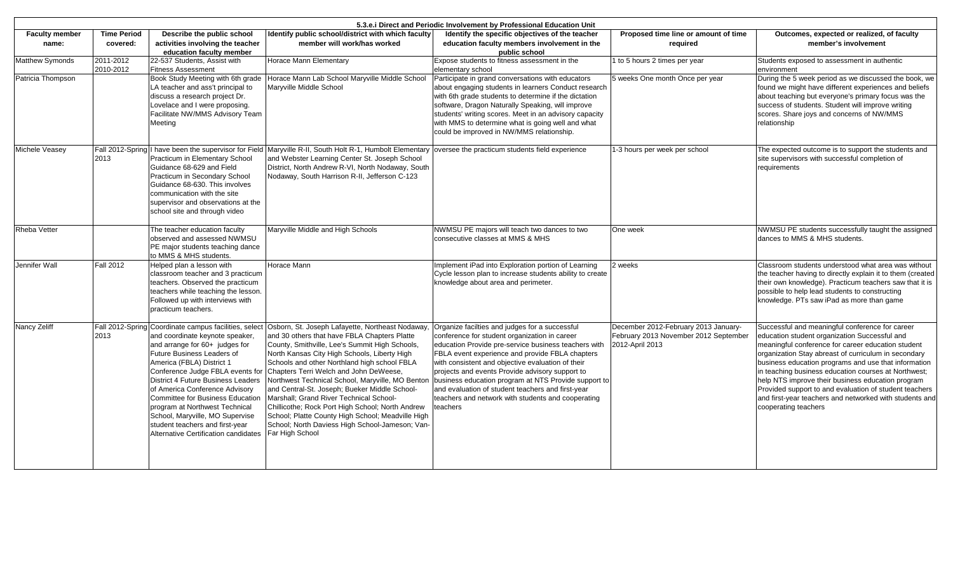| 5.3.e. i Direct and Periodic Involvement by Professional Education Unit |                        |                                                                                                                                                                                                                                                                                                                                                                                                                                     |                                                                                                                                                                                                                                                                                                                                                                                                                                                                                                                                                                                                                                                                                   |                                                                                                                                                                                                                                                                                                                                                                                                                                                                                                   |                                                                                                  |                                                                                                                                                                                                                                                                                                                                                                                                                                                                                                                                  |
|-------------------------------------------------------------------------|------------------------|-------------------------------------------------------------------------------------------------------------------------------------------------------------------------------------------------------------------------------------------------------------------------------------------------------------------------------------------------------------------------------------------------------------------------------------|-----------------------------------------------------------------------------------------------------------------------------------------------------------------------------------------------------------------------------------------------------------------------------------------------------------------------------------------------------------------------------------------------------------------------------------------------------------------------------------------------------------------------------------------------------------------------------------------------------------------------------------------------------------------------------------|---------------------------------------------------------------------------------------------------------------------------------------------------------------------------------------------------------------------------------------------------------------------------------------------------------------------------------------------------------------------------------------------------------------------------------------------------------------------------------------------------|--------------------------------------------------------------------------------------------------|----------------------------------------------------------------------------------------------------------------------------------------------------------------------------------------------------------------------------------------------------------------------------------------------------------------------------------------------------------------------------------------------------------------------------------------------------------------------------------------------------------------------------------|
| <b>Faculty member</b>                                                   | <b>Time Period</b>     | Describe the public school                                                                                                                                                                                                                                                                                                                                                                                                          | Identify public school/district with which faculty                                                                                                                                                                                                                                                                                                                                                                                                                                                                                                                                                                                                                                | Identify the specific objectives of the teacher                                                                                                                                                                                                                                                                                                                                                                                                                                                   | Proposed time line or amount of time                                                             | Outcomes, expected or realized, of faculty                                                                                                                                                                                                                                                                                                                                                                                                                                                                                       |
| name:                                                                   | covered:               | activities involving the teacher<br>education faculty member                                                                                                                                                                                                                                                                                                                                                                        | member will work/has worked                                                                                                                                                                                                                                                                                                                                                                                                                                                                                                                                                                                                                                                       | education faculty members involvement in the<br>public school                                                                                                                                                                                                                                                                                                                                                                                                                                     | required                                                                                         | member's involvement                                                                                                                                                                                                                                                                                                                                                                                                                                                                                                             |
| <b>Matthew Symonds</b>                                                  | 2011-2012<br>2010-2012 | 22-537 Students, Assist with<br><b>Fitness Assessment</b>                                                                                                                                                                                                                                                                                                                                                                           | Horace Mann Elementary                                                                                                                                                                                                                                                                                                                                                                                                                                                                                                                                                                                                                                                            | Expose students to fitness assessment in the<br>elementary school                                                                                                                                                                                                                                                                                                                                                                                                                                 | to 5 hours 2 times per year                                                                      | Students exposed to assessment in authentic<br>environment                                                                                                                                                                                                                                                                                                                                                                                                                                                                       |
| Patricia Thompson                                                       |                        | Book Study Meeting with 6th grade<br>LA teacher and ass't principal to<br>discuss a research project Dr.<br>Lovelace and I were proposing.<br>Facilitate NW/MMS Advisory Team<br>Meeting                                                                                                                                                                                                                                            | Horace Mann Lab School Maryville Middle School<br>Maryville Middle School                                                                                                                                                                                                                                                                                                                                                                                                                                                                                                                                                                                                         | Participate in grand conversations with educators<br>about engaging students in learners Conduct research<br>with 6th grade students to determine if the dictation<br>software, Dragon Naturally Speaking, will improve<br>students' writing scores. Meet in an advisory capacity<br>with MMS to determine what is going well and what<br>could be improved in NW/MMS relationship.                                                                                                               | 5 weeks One month Once per year                                                                  | During the 5 week period as we discussed the book, we<br>found we might have different experiences and beliefs<br>about teaching but everyone's primary focus was the<br>success of students. Student will improve writing<br>scores. Share joys and concerns of NW/MMS<br>relationship                                                                                                                                                                                                                                          |
| Michele Veasey                                                          | 2013                   | Practicum in Elementary School<br>Guidance 68-629 and Field<br>Practicum in Secondary School<br>Guidance 68-630. This involves<br>communication with the site<br>supervisor and observations at the<br>school site and through video                                                                                                                                                                                                | Fall 2012-Spring I have been the supervisor for Field Maryville R-II, South Holt R-1, Humbolt Elementary oversee the practicum students field experience<br>and Webster Learning Center St. Joseph School<br>District, North Andrew R-VI, North Nodaway, South<br>Nodaway, South Harrison R-II, Jefferson C-123                                                                                                                                                                                                                                                                                                                                                                   |                                                                                                                                                                                                                                                                                                                                                                                                                                                                                                   | 1-3 hours per week per school                                                                    | The expected outcome is to support the students and<br>site supervisors with successful completion of<br>requirements                                                                                                                                                                                                                                                                                                                                                                                                            |
| <b>Rheba Vetter</b>                                                     |                        | The teacher education faculty<br>observed and assessed NWMSU<br>PE major students teaching dance<br>to MMS & MHS students.                                                                                                                                                                                                                                                                                                          | Maryville Middle and High Schools                                                                                                                                                                                                                                                                                                                                                                                                                                                                                                                                                                                                                                                 | NWMSU PE majors will teach two dances to two<br>consecutive classes at MMS & MHS                                                                                                                                                                                                                                                                                                                                                                                                                  | One week                                                                                         | NWMSU PE students successfully taught the assigned<br>dances to MMS & MHS students.                                                                                                                                                                                                                                                                                                                                                                                                                                              |
| Jennifer Wall                                                           | <b>Fall 2012</b>       | Helped plan a lesson with<br>classroom teacher and 3 practicum<br>teachers. Observed the practicum<br>teachers while teaching the lesson.<br>Followed up with interviews with<br>practicum teachers.                                                                                                                                                                                                                                | Horace Mann                                                                                                                                                                                                                                                                                                                                                                                                                                                                                                                                                                                                                                                                       | Implement iPad into Exploration portion of Learning<br>Cycle lesson plan to increase students ability to create<br>knowledge about area and perimeter.                                                                                                                                                                                                                                                                                                                                            | 2 weeks                                                                                          | Classroom students understood what area was without<br>the teacher having to directly explain it to them (created<br>their own knowledge). Practicum teachers saw that it is<br>possible to help lead students to constructing<br>knowledge. PTs saw iPad as more than game                                                                                                                                                                                                                                                      |
| Nancy Zeliff                                                            | 2013                   | and coordinate keynote speaker,<br>and arrange for 60+ judges for<br>Future Business Leaders of<br>America (FBLA) District 1<br>Conference Judge FBLA events for<br><b>District 4 Future Business Leaders</b><br>of America Conference Advisory<br>Committee for Business Education<br>program at Northwest Technical<br>School, Maryville, MO Supervise<br>student teachers and first-year<br>Alternative Certification candidates | Fall 2012-Spring Coordinate campus facilities, select Osborn, St. Joseph Lafayette, Northeast Nodaway,<br>and 30 others that have FBLA Chapters Platte<br>County, Smithville, Lee's Summit High Schools,<br>North Kansas City High Schools, Liberty High<br>Schools and other Northland high school FBLA<br>Chapters Terri Welch and John DeWeese,<br>Northwest Technical School, Maryville, MO Bentor<br>and Central-St. Joseph; Bueker Middle School-<br>Marshall: Grand River Technical School-<br>Chillicothe; Rock Port High School; North Andrew<br>School; Platte County High School; Meadville High<br>School; North Daviess High School-Jameson; Van-<br>Far High School | Organize facilties and judges for a successful<br>conference for student organization in career<br>education Provide pre-service business teachers with<br>FBLA event experience and provide FBLA chapters<br>with consistent and objective evaluation of their<br>projects and events Provide advisory support to<br>business education program at NTS Provide support to<br>and evaluation of student teachers and first-year<br>teachers and network with students and cooperating<br>teachers | December 2012-February 2013 January-<br>February 2013 November 2012 September<br>2012-April 2013 | Successful and meaningful conference for career<br>education student organization Successful and<br>meaningful conference for career education student<br>organization Stay abreast of curriculum in secondary<br>business education programs and use that information<br>in teaching business education courses at Northwest;<br>help NTS improve their business education program<br>Provided support to and evaluation of student teachers<br>and first-year teachers and networked with students and<br>cooperating teachers |